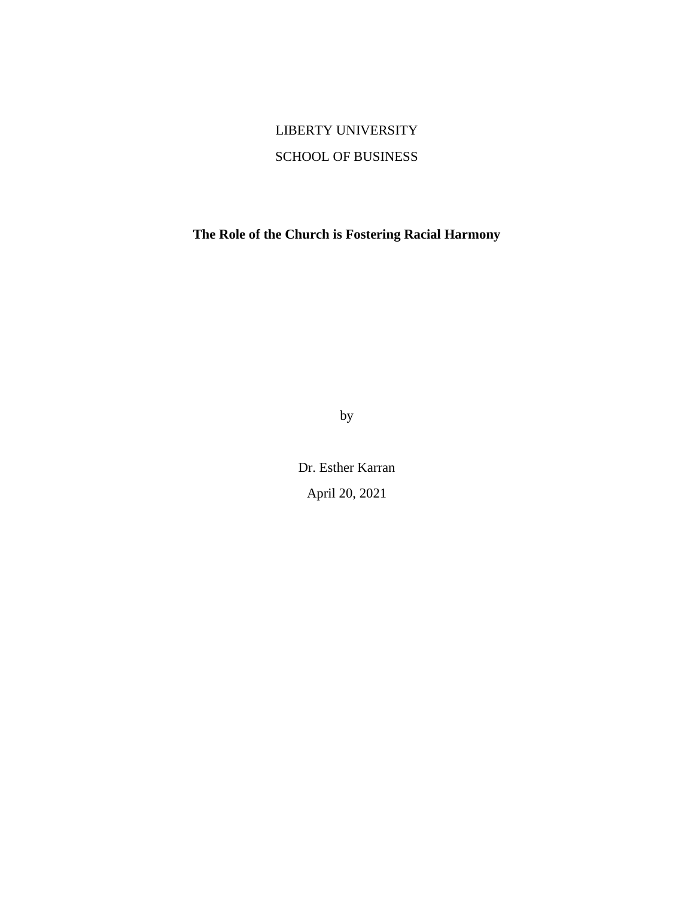# LIBERTY UNIVERSITY SCHOOL OF BUSINESS

**The Role of the Church is Fostering Racial Harmony**

by

Dr. Esther Karran April 20, 2021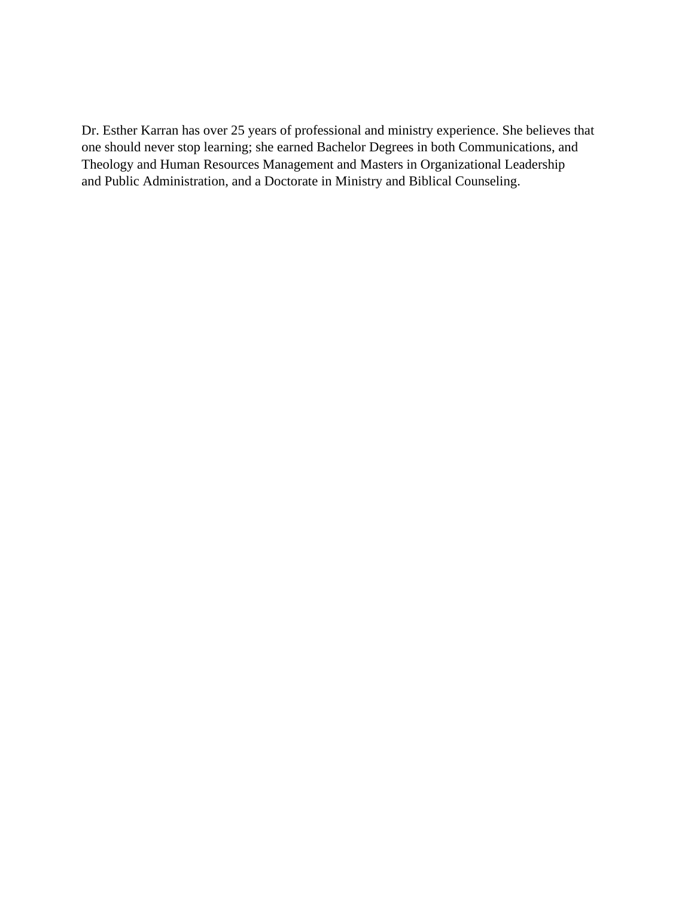Dr. Esther Karran has over 25 years of professional and ministry experience. She believes that one should never stop learning; she earned Bachelor Degrees in both Communications, and Theology and Human Resources Management and Masters in Organizational Leadership and Public Administration, and a Doctorate in Ministry and Biblical Counseling.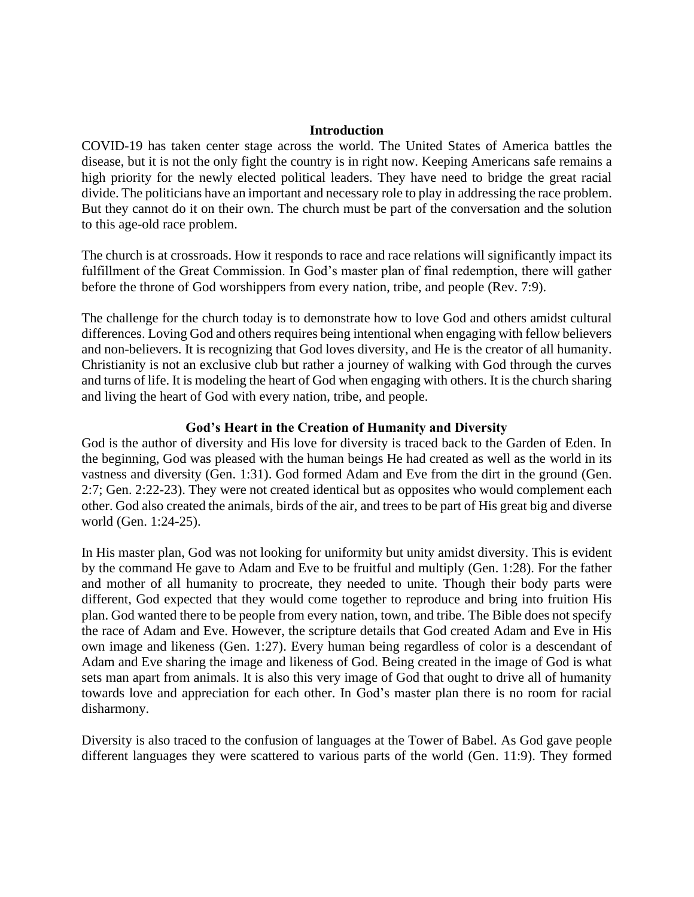### **Introduction**

COVID-19 has taken center stage across the world. The United States of America battles the disease, but it is not the only fight the country is in right now. Keeping Americans safe remains a high priority for the newly elected political leaders. They have need to bridge the great racial divide. The politicians have an important and necessary role to play in addressing the race problem. But they cannot do it on their own. The church must be part of the conversation and the solution to this age-old race problem.

The church is at crossroads. How it responds to race and race relations will significantly impact its fulfillment of the Great Commission. In God's master plan of final redemption, there will gather before the throne of God worshippers from every nation, tribe, and people (Rev. 7:9).

The challenge for the church today is to demonstrate how to love God and others amidst cultural differences. Loving God and others requires being intentional when engaging with fellow believers and non-believers. It is recognizing that God loves diversity, and He is the creator of all humanity. Christianity is not an exclusive club but rather a journey of walking with God through the curves and turns of life. It is modeling the heart of God when engaging with others. It is the church sharing and living the heart of God with every nation, tribe, and people.

# **God's Heart in the Creation of Humanity and Diversity**

God is the author of diversity and His love for diversity is traced back to the Garden of Eden. In the beginning, God was pleased with the human beings He had created as well as the world in its vastness and diversity (Gen. 1:31). God formed Adam and Eve from the dirt in the ground (Gen. 2:7; Gen. 2:22-23). They were not created identical but as opposites who would complement each other. God also created the animals, birds of the air, and trees to be part of His great big and diverse world (Gen. 1:24-25).

In His master plan, God was not looking for uniformity but unity amidst diversity. This is evident by the command He gave to Adam and Eve to be fruitful and multiply (Gen. 1:28). For the father and mother of all humanity to procreate, they needed to unite. Though their body parts were different, God expected that they would come together to reproduce and bring into fruition His plan. God wanted there to be people from every nation, town, and tribe. The Bible does not specify the race of Adam and Eve. However, the scripture details that God created Adam and Eve in His own image and likeness (Gen. 1:27). Every human being regardless of color is a descendant of Adam and Eve sharing the image and likeness of God. Being created in the image of God is what sets man apart from animals. It is also this very image of God that ought to drive all of humanity towards love and appreciation for each other. In God's master plan there is no room for racial disharmony.

Diversity is also traced to the confusion of languages at the Tower of Babel. As God gave people different languages they were scattered to various parts of the world (Gen. 11:9). They formed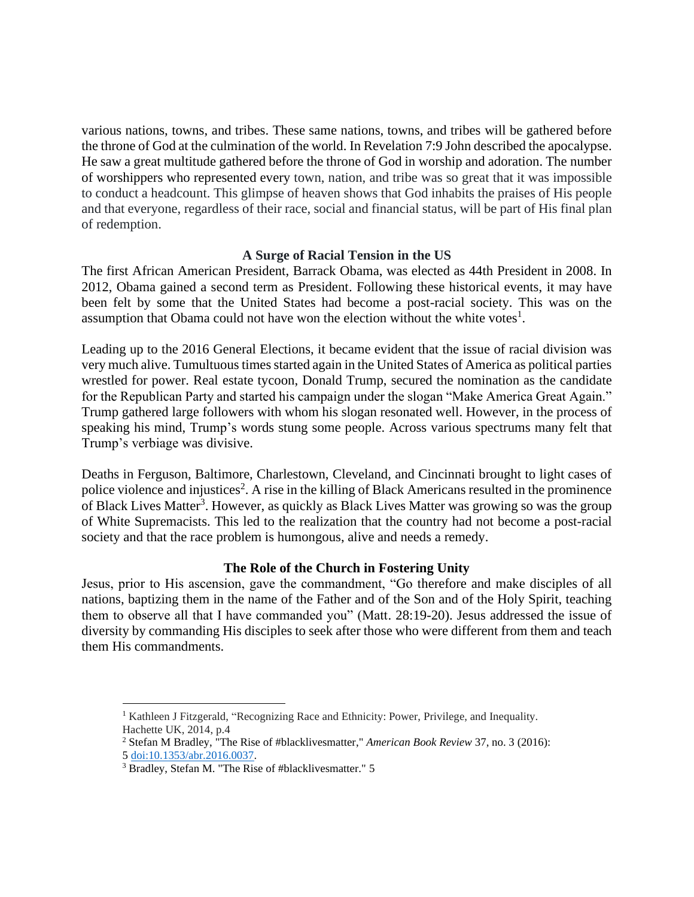various nations, towns, and tribes. These same nations, towns, and tribes will be gathered before the throne of God at the culmination of the world. In Revelation 7:9 John described the apocalypse. He saw a great multitude gathered before the throne of God in worship and adoration. The number of worshippers who represented every town, nation, and tribe was so great that it was impossible to conduct a headcount. This glimpse of heaven shows that God inhabits the praises of His people and that everyone, regardless of their race, social and financial status, will be part of His final plan of redemption.

# **A Surge of Racial Tension in the US**

The first African American President, Barrack Obama, was elected as 44th President in 2008. In 2012, Obama gained a second term as President. Following these historical events, it may have been felt by some that the United States had become a post-racial society. This was on the assumption that Obama could not have won the election without the white votes $<sup>1</sup>$ .</sup>

Leading up to the 2016 General Elections, it became evident that the issue of racial division was very much alive. Tumultuous times started again in the United States of America as political parties wrestled for power. Real estate tycoon, Donald Trump, secured the nomination as the candidate for the Republican Party and started his campaign under the slogan "Make America Great Again." Trump gathered large followers with whom his slogan resonated well. However, in the process of speaking his mind, Trump's words stung some people. Across various spectrums many felt that Trump's verbiage was divisive.

Deaths in Ferguson, Baltimore, Charlestown, Cleveland, and Cincinnati brought to light cases of police violence and injustices<sup>2</sup>. A rise in the killing of Black Americans resulted in the prominence of Black Lives Matter<sup>3</sup>. However, as quickly as Black Lives Matter was growing so was the group of White Supremacists. This led to the realization that the country had not become a post-racial society and that the race problem is humongous, alive and needs a remedy.

# **The Role of the Church in Fostering Unity**

Jesus, prior to His ascension, gave the commandment, "Go therefore and make disciples of all nations, baptizing them in the name of the Father and of the Son and of the Holy Spirit, teaching them to observe all that I have commanded you" (Matt. 28:19-20). Jesus addressed the issue of diversity by commanding His disciples to seek after those who were different from them and teach them His commandments.

<sup>&</sup>lt;sup>1</sup> Kathleen J Fitzgerald, "Recognizing Race and Ethnicity: Power, Privilege, and Inequality. Hachette UK, 2014, p.4

<sup>2</sup> Stefan M Bradley, "The Rise of #blacklivesmatter," *American Book Review* 37, no. 3 (2016): 5 [doi:10.1353/abr.2016.0037.](http://doi.org/10.1353/abr.2016.0037)

<sup>3</sup> Bradley, Stefan M. "The Rise of #blacklivesmatter." 5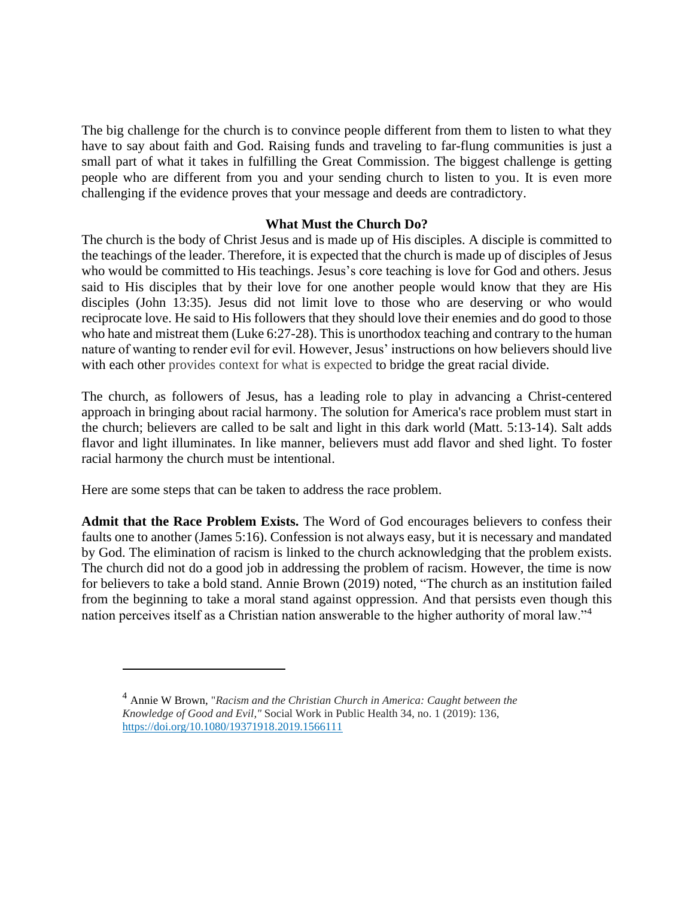The big challenge for the church is to convince people different from them to listen to what they have to say about faith and God. Raising funds and traveling to far-flung communities is just a small part of what it takes in fulfilling the Great Commission. The biggest challenge is getting people who are different from you and your sending church to listen to you. It is even more challenging if the evidence proves that your message and deeds are contradictory.

### **What Must the Church Do?**

The church is the body of Christ Jesus and is made up of His disciples. A disciple is committed to the teachings of the leader. Therefore, it is expected that the church is made up of disciples of Jesus who would be committed to His teachings. Jesus's core teaching is love for God and others. Jesus said to His disciples that by their love for one another people would know that they are His disciples (John 13:35). Jesus did not limit love to those who are deserving or who would reciprocate love. He said to His followers that they should love their enemies and do good to those who hate and mistreat them (Luke 6:27-28). This is unorthodox teaching and contrary to the human nature of wanting to render evil for evil. However, Jesus' instructions on how believers should live with each other provides context for what is expected to bridge the great racial divide.

The church, as followers of Jesus, has a leading role to play in advancing a Christ-centered approach in bringing about racial harmony. The solution for America's race problem must start in the church; believers are called to be salt and light in this dark world (Matt. 5:13-14). Salt adds flavor and light illuminates. In like manner, believers must add flavor and shed light. To foster racial harmony the church must be intentional.

Here are some steps that can be taken to address the race problem.

**Admit that the Race Problem Exists.** The Word of God encourages believers to confess their faults one to another (James 5:16). Confession is not always easy, but it is necessary and mandated by God. The elimination of racism is linked to the church acknowledging that the problem exists. The church did not do a good job in addressing the problem of racism. However, the time is now for believers to take a bold stand. Annie Brown (2019) noted, "The church as an institution failed from the beginning to take a moral stand against oppression. And that persists even though this nation perceives itself as a Christian nation answerable to the higher authority of moral law."<sup>4</sup>

<sup>4</sup> Annie W Brown, "*Racism and the Christian Church in America: Caught between the Knowledge of Good and Evil,"* Social Work in Public Health 34, no. 1 (2019): 136, <https://doi.org/10.1080/19371918.2019.1566111>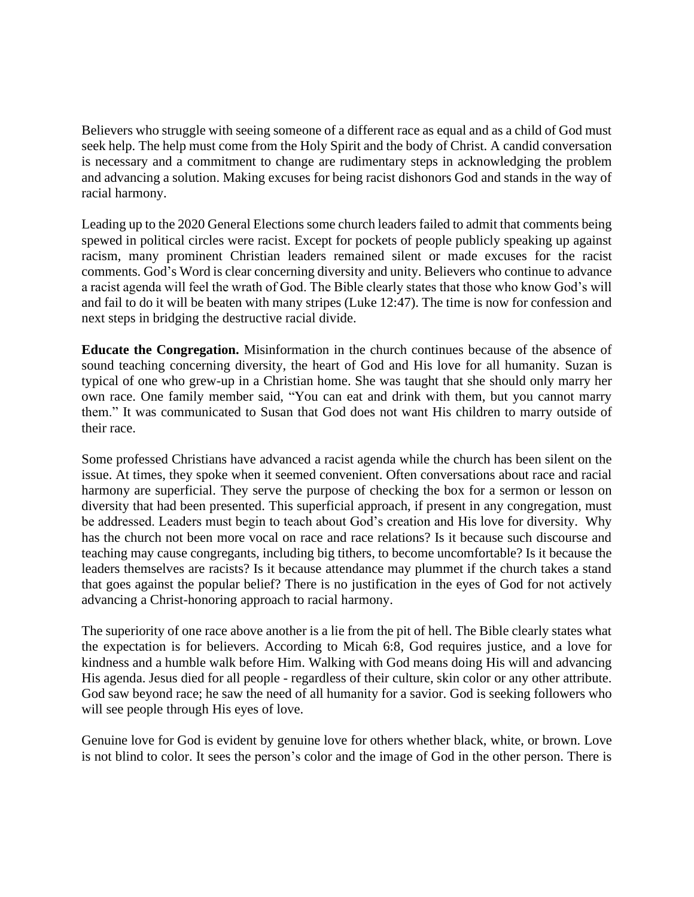Believers who struggle with seeing someone of a different race as equal and as a child of God must seek help. The help must come from the Holy Spirit and the body of Christ. A candid conversation is necessary and a commitment to change are rudimentary steps in acknowledging the problem and advancing a solution. Making excuses for being racist dishonors God and stands in the way of racial harmony.

Leading up to the 2020 General Elections some church leaders failed to admit that comments being spewed in political circles were racist. Except for pockets of people publicly speaking up against racism, many prominent Christian leaders remained silent or made excuses for the racist comments. God's Word is clear concerning diversity and unity. Believers who continue to advance a racist agenda will feel the wrath of God. The Bible clearly states that those who know God's will and fail to do it will be beaten with many stripes (Luke 12:47). The time is now for confession and next steps in bridging the destructive racial divide.

**Educate the Congregation.** Misinformation in the church continues because of the absence of sound teaching concerning diversity, the heart of God and His love for all humanity. Suzan is typical of one who grew-up in a Christian home. She was taught that she should only marry her own race. One family member said, "You can eat and drink with them, but you cannot marry them." It was communicated to Susan that God does not want His children to marry outside of their race.

Some professed Christians have advanced a racist agenda while the church has been silent on the issue. At times, they spoke when it seemed convenient. Often conversations about race and racial harmony are superficial. They serve the purpose of checking the box for a sermon or lesson on diversity that had been presented. This superficial approach, if present in any congregation, must be addressed. Leaders must begin to teach about God's creation and His love for diversity. Why has the church not been more vocal on race and race relations? Is it because such discourse and teaching may cause congregants, including big tithers, to become uncomfortable? Is it because the leaders themselves are racists? Is it because attendance may plummet if the church takes a stand that goes against the popular belief? There is no justification in the eyes of God for not actively advancing a Christ-honoring approach to racial harmony.

The superiority of one race above another is a lie from the pit of hell. The Bible clearly states what the expectation is for believers. According to Micah 6:8, God requires justice, and a love for kindness and a humble walk before Him. Walking with God means doing His will and advancing His agenda. Jesus died for all people - regardless of their culture, skin color or any other attribute. God saw beyond race; he saw the need of all humanity for a savior. God is seeking followers who will see people through His eyes of love.

Genuine love for God is evident by genuine love for others whether black, white, or brown. Love is not blind to color. It sees the person's color and the image of God in the other person. There is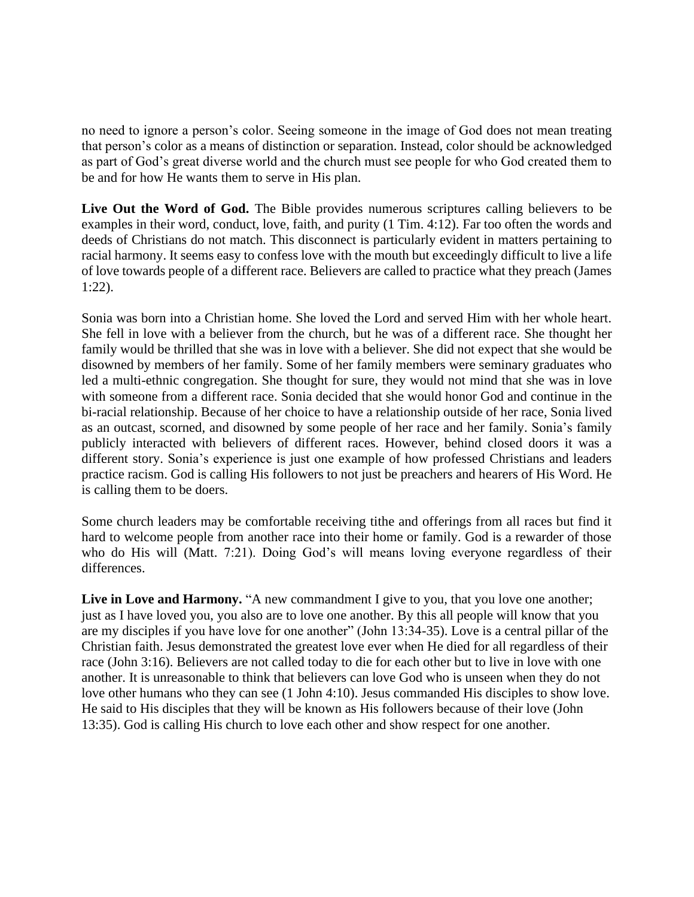no need to ignore a person's color. Seeing someone in the image of God does not mean treating that person's color as a means of distinction or separation. Instead, color should be acknowledged as part of God's great diverse world and the church must see people for who God created them to be and for how He wants them to serve in His plan.

**Live Out the Word of God.** The Bible provides numerous scriptures calling believers to be examples in their word, conduct, love, faith, and purity (1 Tim. 4:12). Far too often the words and deeds of Christians do not match. This disconnect is particularly evident in matters pertaining to racial harmony. It seems easy to confess love with the mouth but exceedingly difficult to live a life of love towards people of a different race. Believers are called to practice what they preach (James 1:22).

Sonia was born into a Christian home. She loved the Lord and served Him with her whole heart. She fell in love with a believer from the church, but he was of a different race. She thought her family would be thrilled that she was in love with a believer. She did not expect that she would be disowned by members of her family. Some of her family members were seminary graduates who led a multi-ethnic congregation. She thought for sure, they would not mind that she was in love with someone from a different race. Sonia decided that she would honor God and continue in the bi-racial relationship. Because of her choice to have a relationship outside of her race, Sonia lived as an outcast, scorned, and disowned by some people of her race and her family. Sonia's family publicly interacted with believers of different races. However, behind closed doors it was a different story. Sonia's experience is just one example of how professed Christians and leaders practice racism. God is calling His followers to not just be preachers and hearers of His Word. He is calling them to be doers.

Some church leaders may be comfortable receiving tithe and offerings from all races but find it hard to welcome people from another race into their home or family. God is a rewarder of those who do His will (Matt. 7:21). Doing God's will means loving everyone regardless of their differences.

Live in Love and Harmony. "A new commandment I give to you, that you love one another; just as I have loved you, you also are to love one another. By this all people will know that you are my disciples if you have love for one another" (John 13:34-35). Love is a central pillar of the Christian faith. Jesus demonstrated the greatest love ever when He died for all regardless of their race (John 3:16). Believers are not called today to die for each other but to live in love with one another. It is unreasonable to think that believers can love God who is unseen when they do not love other humans who they can see (1 John 4:10). Jesus commanded His disciples to show love. He said to His disciples that they will be known as His followers because of their love (John 13:35). God is calling His church to love each other and show respect for one another.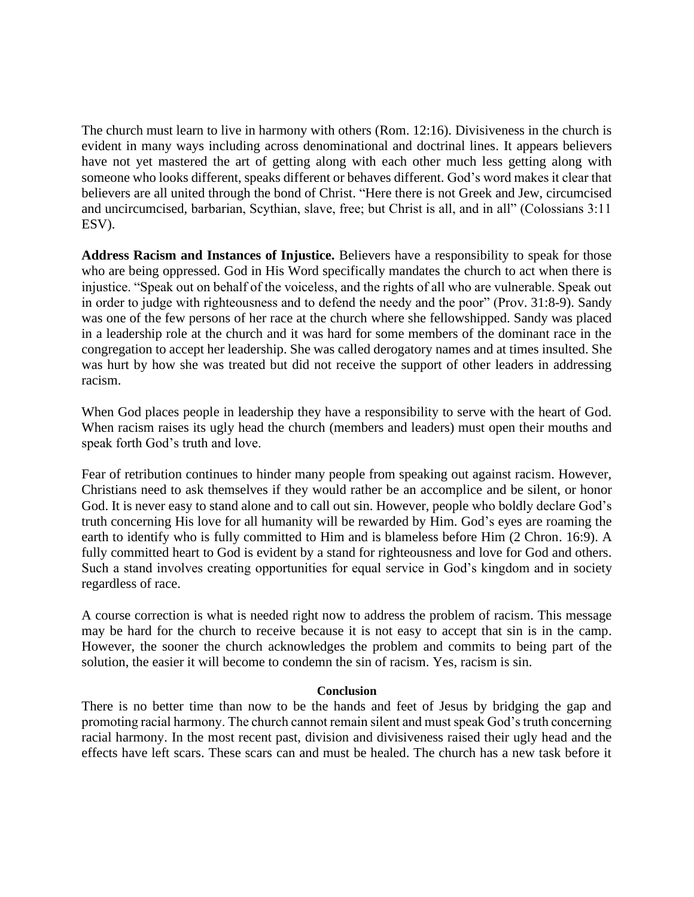The church must learn to live in harmony with others (Rom. 12:16). Divisiveness in the church is evident in many ways including across denominational and doctrinal lines. It appears believers have not yet mastered the art of getting along with each other much less getting along with someone who looks different, speaks different or behaves different. God's word makes it clear that believers are all united through the bond of Christ. "Here there is not Greek and Jew, circumcised and uncircumcised, barbarian, Scythian, slave, free; but Christ is all, and in all" (Colossians 3:11 ESV).

**Address Racism and Instances of Injustice.** Believers have a responsibility to speak for those who are being oppressed. God in His Word specifically mandates the church to act when there is injustice. "Speak out on behalf of the voiceless, and the rights of all who are vulnerable. Speak out in order to judge with righteousness and to defend the needy and the poor" (Prov. 31:8-9). Sandy was one of the few persons of her race at the church where she fellowshipped. Sandy was placed in a leadership role at the church and it was hard for some members of the dominant race in the congregation to accept her leadership. She was called derogatory names and at times insulted. She was hurt by how she was treated but did not receive the support of other leaders in addressing racism.

When God places people in leadership they have a responsibility to serve with the heart of God. When racism raises its ugly head the church (members and leaders) must open their mouths and speak forth God's truth and love.

Fear of retribution continues to hinder many people from speaking out against racism. However, Christians need to ask themselves if they would rather be an accomplice and be silent, or honor God. It is never easy to stand alone and to call out sin. However, people who boldly declare God's truth concerning His love for all humanity will be rewarded by Him. God's eyes are roaming the earth to identify who is fully committed to Him and is blameless before Him (2 Chron. 16:9). A fully committed heart to God is evident by a stand for righteousness and love for God and others. Such a stand involves creating opportunities for equal service in God's kingdom and in society regardless of race.

A course correction is what is needed right now to address the problem of racism. This message may be hard for the church to receive because it is not easy to accept that sin is in the camp. However, the sooner the church acknowledges the problem and commits to being part of the solution, the easier it will become to condemn the sin of racism. Yes, racism is sin.

#### **Conclusion**

There is no better time than now to be the hands and feet of Jesus by bridging the gap and promoting racial harmony. The church cannot remain silent and must speak God's truth concerning racial harmony. In the most recent past, division and divisiveness raised their ugly head and the effects have left scars. These scars can and must be healed. The church has a new task before it